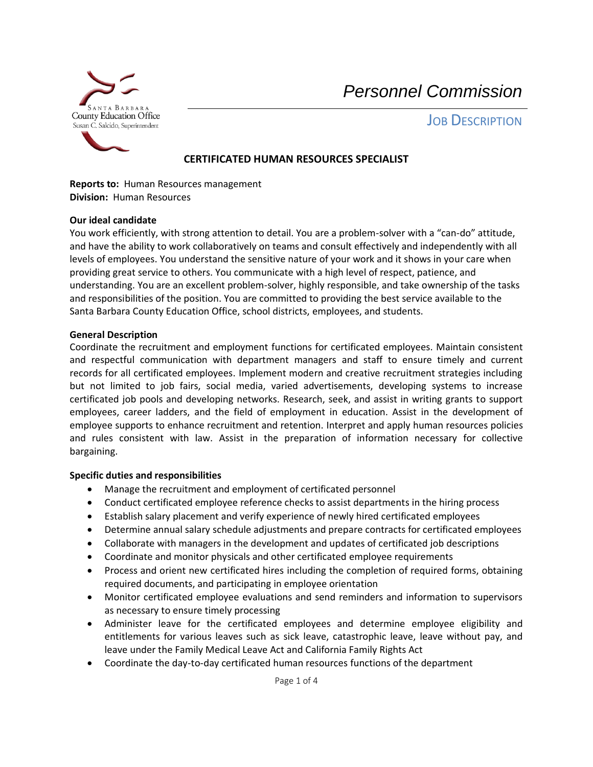

**JOB DESCRIPTION** 

# **CERTIFICATED HUMAN RESOURCES SPECIALIST**

**Reports to:** Human Resources management **Division:** Human Resources

#### **Our ideal candidate**

You work efficiently, with strong attention to detail. You are a problem-solver with a "can-do" attitude, and have the ability to work collaboratively on teams and consult effectively and independently with all levels of employees. You understand the sensitive nature of your work and it shows in your care when providing great service to others. You communicate with a high level of respect, patience, and understanding. You are an excellent problem-solver, highly responsible, and take ownership of the tasks and responsibilities of the position. You are committed to providing the best service available to the Santa Barbara County Education Office, school districts, employees, and students.

#### **General Description**

Coordinate the recruitment and employment functions for certificated employees. Maintain consistent and respectful communication with department managers and staff to ensure timely and current records for all certificated employees. Implement modern and creative recruitment strategies including but not limited to job fairs, social media, varied advertisements, developing systems to increase certificated job pools and developing networks. Research, seek, and assist in writing grants to support employees, career ladders, and the field of employment in education. Assist in the development of employee supports to enhance recruitment and retention. Interpret and apply human resources policies and rules consistent with law. Assist in the preparation of information necessary for collective bargaining.

### **Specific duties and responsibilities**

- Manage the recruitment and employment of certificated personnel
- Conduct certificated employee reference checks to assist departments in the hiring process
- Establish salary placement and verify experience of newly hired certificated employees
- Determine annual salary schedule adjustments and prepare contracts for certificated employees
- Collaborate with managers in the development and updates of certificated job descriptions
- Coordinate and monitor physicals and other certificated employee requirements
- Process and orient new certificated hires including the completion of required forms, obtaining required documents, and participating in employee orientation
- Monitor certificated employee evaluations and send reminders and information to supervisors as necessary to ensure timely processing
- Administer leave for the certificated employees and determine employee eligibility and entitlements for various leaves such as sick leave, catastrophic leave, leave without pay, and leave under the Family Medical Leave Act and California Family Rights Act
- Coordinate the day-to-day certificated human resources functions of the department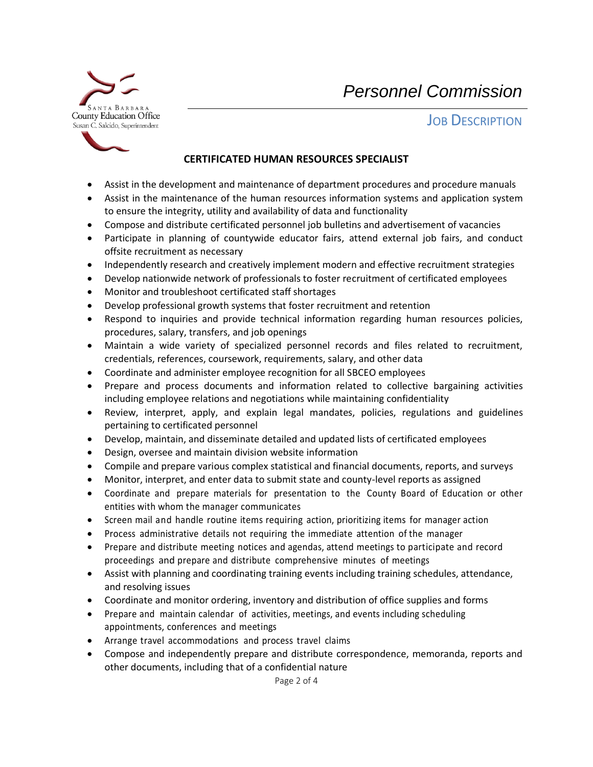

# **JOB DESCRIPTION**

## **CERTIFICATED HUMAN RESOURCES SPECIALIST**

- Assist in the development and maintenance of department procedures and procedure manuals
- Assist in the maintenance of the human resources information systems and application system to ensure the integrity, utility and availability of data and functionality
- Compose and distribute certificated personnel job bulletins and advertisement of vacancies
- Participate in planning of countywide educator fairs, attend external job fairs, and conduct offsite recruitment as necessary
- Independently research and creatively implement modern and effective recruitment strategies
- Develop nationwide network of professionals to foster recruitment of certificated employees
- Monitor and troubleshoot certificated staff shortages
- Develop professional growth systems that foster recruitment and retention
- Respond to inquiries and provide technical information regarding human resources policies, procedures, salary, transfers, and job openings
- Maintain a wide variety of specialized personnel records and files related to recruitment, credentials, references, coursework, requirements, salary, and other data
- Coordinate and administer employee recognition for all SBCEO employees
- Prepare and process documents and information related to collective bargaining activities including employee relations and negotiations while maintaining confidentiality
- Review, interpret, apply, and explain legal mandates, policies, regulations and guidelines pertaining to certificated personnel
- Develop, maintain, and disseminate detailed and updated lists of certificated employees
- Design, oversee and maintain division website information
- Compile and prepare various complex statistical and financial documents, reports, and surveys
- Monitor, interpret, and enter data to submit state and county-level reports as assigned
- Coordinate and prepare materials for presentation to the County Board of Education or other entities with whom the manager communicates
- Screen mail and handle routine items requiring action, prioritizing items for manager action
- Process administrative details not requiring the immediate attention of the manager
- Prepare and distribute meeting notices and agendas, attend meetings to participate and record proceedings and prepare and distribute comprehensive minutes of meetings
- Assist with planning and coordinating training events including training schedules, attendance, and resolving issues
- Coordinate and monitor ordering, inventory and distribution of office supplies and forms
- Prepare and maintain calendar of activities, meetings, and events including scheduling appointments, conferences and meetings
- Arrange travel accommodations and process travel claims
- Compose and independently prepare and distribute correspondence, memoranda, reports and other documents, including that of a confidential nature

Page 2 of 4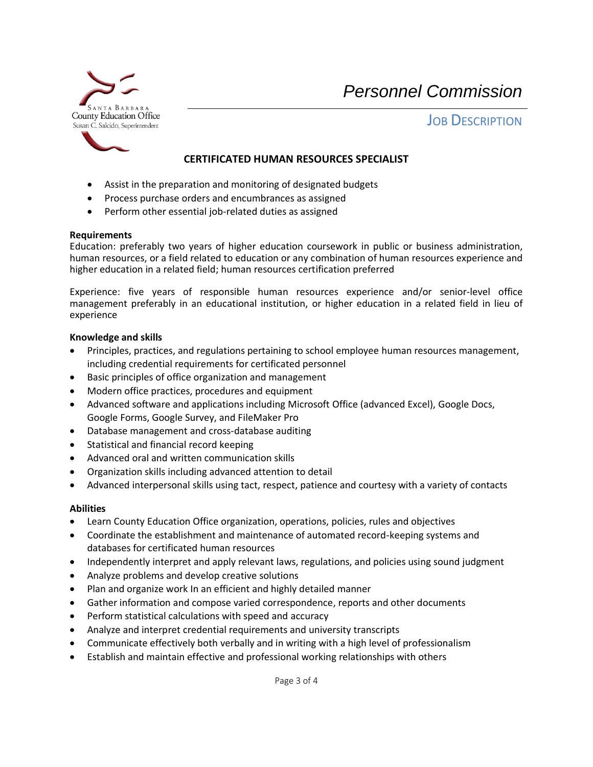

**JOB DESCRIPTION** 

# **CERTIFICATED HUMAN RESOURCES SPECIALIST**

- Assist in the preparation and monitoring of designated budgets
- Process purchase orders and encumbrances as assigned
- Perform other essential job-related duties as assigned

#### **Requirements**

Education: preferably two years of higher education coursework in public or business administration, human resources, or a field related to education or any combination of human resources experience and higher education in a related field; human resources certification preferred

Experience: five years of responsible human resources experience and/or senior-level office management preferably in an educational institution, or higher education in a related field in lieu of experience

#### **Knowledge and skills**

- Principles, practices, and regulations pertaining to school employee human resources management, including credential requirements for certificated personnel
- Basic principles of office organization and management
- Modern office practices, procedures and equipment
- Advanced software and applications including Microsoft Office (advanced Excel), Google Docs, Google Forms, Google Survey, and FileMaker Pro
- Database management and cross-database auditing
- Statistical and financial record keeping
- Advanced oral and written communication skills
- Organization skills including advanced attention to detail
- Advanced interpersonal skills using tact, respect, patience and courtesy with a variety of contacts

### **Abilities**

- Learn County Education Office organization, operations, policies, rules and objectives
- Coordinate the establishment and maintenance of automated record-keeping systems and databases for certificated human resources
- Independently interpret and apply relevant laws, regulations, and policies using sound judgment
- Analyze problems and develop creative solutions
- Plan and organize work In an efficient and highly detailed manner
- Gather information and compose varied correspondence, reports and other documents
- Perform statistical calculations with speed and accuracy
- Analyze and interpret credential requirements and university transcripts
- Communicate effectively both verbally and in writing with a high level of professionalism
- Establish and maintain effective and professional working relationships with others